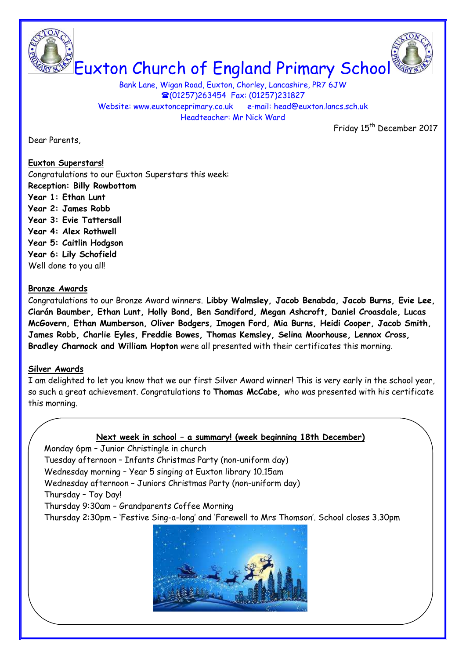

Bank Lane, Wigan Road, Euxton, Chorley, Lancashire, PR7 6JW (01257)263454 Fax: (01257)231827 Website: www.euxtonceprimary.co.uk e-mail: [head@euxton.lancs.sch.uk](mailto:head@euxton.lancs.sch.uk) Headteacher: Mr Nick Ward

Dear Parents,

Friday 15<sup>th</sup> December 2017

# **Euxton Superstars!**

Congratulations to our Euxton Superstars this week: **Reception: Billy Rowbottom**

- **Year 1: Ethan Lunt**
- **Year 2: James Robb**
- **Year 3: Evie Tattersall**
- **Year 4: Alex Rothwell**
- **Year 5: Caitlin Hodgson**
- **Year 6: Lily Schofield**

Well done to you all!

# **Bronze Awards**

Congratulations to our Bronze Award winners. **Libby Walmsley, Jacob Benabda, Jacob Burns, Evie Lee, Ciarán Baumber, Ethan Lunt, Holly Bond, Ben Sandiford, Megan Ashcroft, Daniel Croasdale, Lucas McGovern, Ethan Mumberson, Oliver Bodgers, Imogen Ford, Mia Burns, Heidi Cooper, Jacob Smith, James Robb, Charlie Eyles, Freddie Bowes, Thomas Kemsley, Selina Moorhouse, Lennox Cross, Bradley Charnock and William Hopton** were all presented with their certificates this morning.

## **Silver Awards**

I am delighted to let you know that we our first Silver Award winner! This is very early in the school year, so such a great achievement. Congratulations to **Thomas McCabe,** who was presented with his certificate this morning.

## **Next week in school – a summary! (week beginning 18th December)**

Monday 6pm – Junior Christingle in church

Tuesday afternoon – Infants Christmas Party (non-uniform day)

Wednesday morning – Year 5 singing at Euxton library 10.15am

Wednesday afternoon – Juniors Christmas Party (non-uniform day)

Thursday – Toy Day!

Thursday 9:30am – Grandparents Coffee Morning

Thursday 2:30pm – 'Festive Sing-a-long' and 'Farewell to Mrs Thomson'. School closes 3.30pm

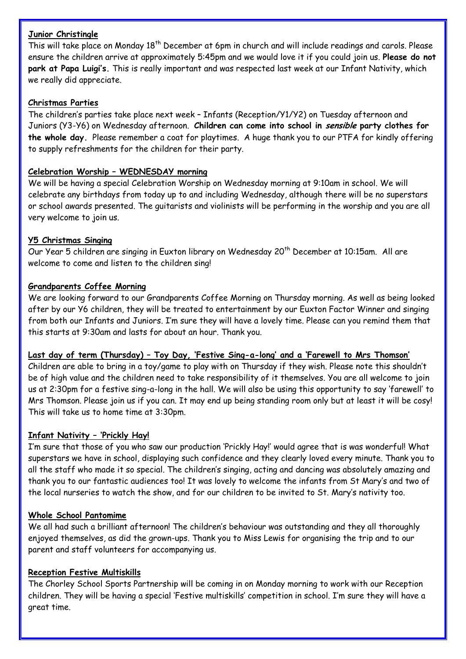## **Junior Christingle**

This will take place on Monday 18<sup>th</sup> December at 6pm in church and will include readings and carols. Please ensure the children arrive at approximately 5:45pm and we would love it if you could join us. **Please do not park at Papa Luigi's.** This is really important and was respected last week at our Infant Nativity, which we really did appreciate.

## **Christmas Parties**

The children's parties take place next week – Infants (Reception/Y1/Y2) on Tuesday afternoon and Juniors (Y3-Y6) on Wednesday afternoon. **Children can come into school in sensible party clothes for the whole day.** Please remember a coat for playtimes. A huge thank you to our PTFA for kindly offering to supply refreshments for the children for their party.

### **Celebration Worship – WEDNESDAY morning**

We will be having a special Celebration Worship on Wednesday morning at 9:10am in school. We will celebrate any birthdays from today up to and including Wednesday, although there will be no superstars or school awards presented. The guitarists and violinists will be performing in the worship and you are all very welcome to join us.

### **Y5 Christmas Singing**

Our Year 5 children are singing in Euxton library on Wednesday 20<sup>th</sup> December at 10:15am. All are welcome to come and listen to the children sing!

### **Grandparents Coffee Morning**

We are looking forward to our Grandparents Coffee Morning on Thursday morning. As well as being looked after by our Y6 children, they will be treated to entertainment by our Euxton Factor Winner and singing from both our Infants and Juniors. I'm sure they will have a lovely time. Please can you remind them that this starts at 9:30am and lasts for about an hour. Thank you.

## **Last day of term (Thursday) – Toy Day, 'Festive Sing-a-long' and a 'Farewell to Mrs Thomson'**

Children are able to bring in a toy/game to play with on Thursday if they wish. Please note this shouldn't be of high value and the children need to take responsibility of it themselves. You are all welcome to join us at 2:30pm for a festive sing-a-long in the hall. We will also be using this opportunity to say 'farewell' to Mrs Thomson. Please join us if you can. It may end up being standing room only but at least it will be cosy! This will take us to home time at 3:30pm.

#### **Infant Nativity – 'Prickly Hay!**

I'm sure that those of you who saw our production 'Prickly Hay!' would agree that is was wonderful! What superstars we have in school, displaying such confidence and they clearly loved every minute. Thank you to all the staff who made it so special. The children's singing, acting and dancing was absolutely amazing and thank you to our fantastic audiences too! It was lovely to welcome the infants from St Mary's and two of the local nurseries to watch the show, and for our children to be invited to St. Mary's nativity too.

#### **Whole School Pantomime**

We all had such a brilliant afternoon! The children's behaviour was outstanding and they all thoroughly enjoyed themselves, as did the grown-ups. Thank you to Miss Lewis for organising the trip and to our parent and staff volunteers for accompanying us.

## **Reception Festive Multiskills**

The Chorley School Sports Partnership will be coming in on Monday morning to work with our Reception children. They will be having a special 'Festive multiskills' competition in school. I'm sure they will have a great time.